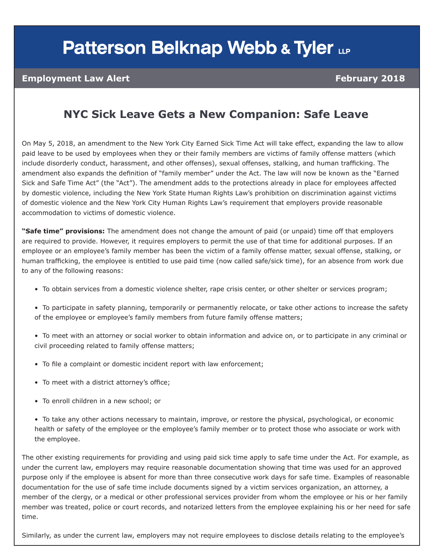# **Patterson Belknap Webb & Tyler LLP**

### **Employment Law Alert February 2018**

## **NYC Sick Leave Gets a New Companion: Safe Leave**

On May 5, 2018, an amendment to the New York City Earned Sick Time Act will take effect, expanding the law to allow paid leave to be used by employees when they or their family members are victims of family offense matters (which include disorderly conduct, harassment, and other offenses), sexual offenses, stalking, and human trafficking. The amendment also expands the definition of "family member" under the Act. The law will now be known as the "Earned Sick and Safe Time Act" (the "Act"). The amendment adds to the protections already in place for employees affected by domestic violence, including the New York State Human Rights Law's prohibition on discrimination against victims of domestic violence and the New York City Human Rights Law's requirement that employers provide reasonable accommodation to victims of domestic violence.

**"Safe time" provisions:** The amendment does not change the amount of paid (or unpaid) time off that employers are required to provide. However, it requires employers to permit the use of that time for additional purposes. If an employee or an employee's family member has been the victim of a family offense matter, sexual offense, stalking, or human trafficking, the employee is entitled to use paid time (now called safe/sick time), for an absence from work due to any of the following reasons:

- To obtain services from a domestic violence shelter, rape crisis center, or other shelter or services program;
- To participate in safety planning, temporarily or permanently relocate, or take other actions to increase the safety of the employee or employee's family members from future family offense matters;
- To meet with an attorney or social worker to obtain information and advice on, or to participate in any criminal or civil proceeding related to family offense matters;
- To file a complaint or domestic incident report with law enforcement;
- To meet with a district attorney's office;
- To enroll children in a new school; or
- To take any other actions necessary to maintain, improve, or restore the physical, psychological, or economic health or safety of the employee or the employee's family member or to protect those who associate or work with the employee.

The other existing requirements for providing and using paid sick time apply to safe time under the Act. For example, as under the current law, employers may require reasonable documentation showing that time was used for an approved purpose only if the employee is absent for more than three consecutive work days for safe time. Examples of reasonable documentation for the use of safe time include documents signed by a victim services organization, an attorney, a member of the clergy, or a medical or other professional services provider from whom the employee or his or her family member was treated, police or court records, and notarized letters from the employee explaining his or her need for safe time.

Similarly, as under the current law, employers may not require employees to disclose details relating to the employee's